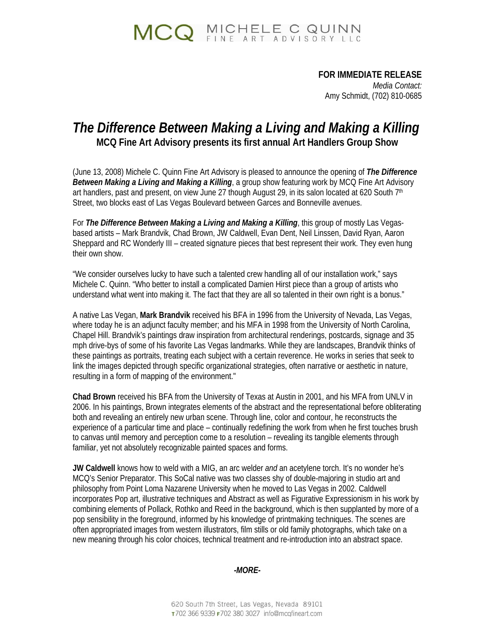

## **FOR IMMEDIATE RELEASE**

 *Media Contact:*  Amy Schmidt, (702) 810-0685

## *The Difference Between Making a Living and Making a Killing*  **MCQ Fine Art Advisory presents its first annual Art Handlers Group Show**

(June 13, 2008) Michele C. Quinn Fine Art Advisory is pleased to announce the opening of *The Difference Between Making a Living and Making a Killing*, a group show featuring work by MCQ Fine Art Advisory art handlers, past and present, on view June 27 though August 29, in its salon located at 620 South  $7<sup>th</sup>$ Street, two blocks east of Las Vegas Boulevard between Garces and Bonneville avenues.

For *The Difference Between Making a Living and Making a Killing*, this group of mostly Las Vegasbased artists – Mark Brandvik, Chad Brown, JW Caldwell, Evan Dent, Neil Linssen, David Ryan, Aaron Sheppard and RC Wonderly III – created signature pieces that best represent their work. They even hung their own show.

"We consider ourselves lucky to have such a talented crew handling all of our installation work," says Michele C. Quinn. "Who better to install a complicated Damien Hirst piece than a group of artists who understand what went into making it. The fact that they are all so talented in their own right is a bonus."

A native Las Vegan, **Mark Brandvik** received his BFA in 1996 from the University of Nevada, Las Vegas, where today he is an adjunct faculty member; and his MFA in 1998 from the University of North Carolina, Chapel Hill. Brandvik's paintings draw inspiration from architectural renderings, postcards, signage and 35 mph drive-bys of some of his favorite Las Vegas landmarks. While they are landscapes, Brandvik thinks of these paintings as portraits, treating each subject with a certain reverence. He works in series that seek to link the images depicted through specific organizational strategies, often narrative or aesthetic in nature, resulting in a form of mapping of the environment."

**Chad Brown** received his BFA from the University of Texas at Austin in 2001, and his MFA from UNLV in 2006. In his paintings, Brown integrates elements of the abstract and the representational before obliterating both and revealing an entirely new urban scene. Through line, color and contour, he reconstructs the experience of a particular time and place – continually redefining the work from when he first touches brush to canvas until memory and perception come to a resolution – revealing its tangible elements through familiar, yet not absolutely recognizable painted spaces and forms.

**JW Caldwell** knows how to weld with a MIG, an arc welder *and* an acetylene torch. It's no wonder he's MCQ's Senior Preparator. This SoCal native was two classes shy of double-majoring in studio art and philosophy from Point Loma Nazarene University when he moved to Las Vegas in 2002. Caldwell incorporates Pop art, illustrative techniques and Abstract as well as Figurative Expressionism in his work by combining elements of Pollack, Rothko and Reed in the background, which is then supplanted by more of a pop sensibility in the foreground, informed by his knowledge of printmaking techniques. The scenes are often appropriated images from western illustrators, film stills or old family photographs, which take on a new meaning through his color choices, technical treatment and re-introduction into an abstract space.

*-MORE-*